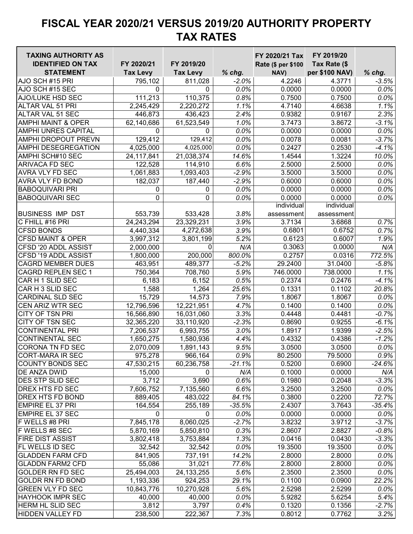| <b>TAXING AUTHORITY AS</b>                     |                 |                 |               | FY 2020/21 Tax     | FY 2019/20       |                    |
|------------------------------------------------|-----------------|-----------------|---------------|--------------------|------------------|--------------------|
| <b>IDENTIFIED ON TAX</b>                       | FY 2020/21      | FY 2019/20      |               | Rate (\$ per \$100 | Tax Rate (\$     |                    |
| <b>STATEMENT</b>                               | <b>Tax Levy</b> | <b>Tax Levy</b> | $%$ chg.      | NAV)               | per \$100 NAV)   | $%$ chg.           |
| AJO SCH #15 PRI                                | 795,102         | 811,028         | $-2.0%$       | 4.2246             | 4.3771           | $-3.5%$            |
| AJO SCH #15 SEC                                | 0               | 0               | 0.0%          | 0.0000             | 0.0000           | 0.0%               |
| <b>AJO/LUKE HSD SEC</b>                        | 111,213         | 110,375         | 0.8%          | 0.7500             | 0.7500           | 0.0%               |
| ALTAR VAL 51 PRI                               | 2,245,429       | 2,220,272       | 1.1%          | 4.7140             | 4.6638           | 1.1%               |
| ALTAR VAL 51 SEC                               | 446,873         | 436,423         | 2.4%          | 0.9382             | 0.9167           | 2.3%               |
| <b>AMPHI MAINT &amp; OPER</b>                  | 62,140,686      | 61,523,549      | 1.0%          | 3.7473             | 3.8672           | $-3.1%$            |
| <b>AMPHI UNRES CAPITAL</b>                     | 0               | 0               | 0.0%          | 0.0000             | 0.0000           | 0.0%               |
| <b>AMPHI DROPOUT PREVN</b>                     | 129,412         | 129,412         | 0.0%          | 0.0078             | 0.0081           | $-3.7%$            |
| <b>AMPHI DESEGREGATION</b>                     | 4,025,000       | 4,025,000       | 0.0%          | 0.2427             | 0.2530           | $-4.1%$            |
| AMPHI SCH#10 SEC                               | 24, 117, 841    | 21,038,374      | 14.6%         | 1.4544             | 1.3224           | 10.0%              |
| <b>ARIVACA FD SEC</b>                          | 122,528         | 114,910         | 6.6%          | 2.5000             | 2.5000           | 0.0%               |
| <b>AVRA VLY FD SEC</b>                         | 1,061,883       | 1,093,403       | $-2.9%$       | 3.5000             | 3.5000           | 0.0%               |
| <b>AVRA VLY FD BOND</b>                        | 182,037         | 187,440         | $-2.9%$       | 0.6000             | 0.6000           | 0.0%               |
| <b>BABOQUIVARI PRI</b>                         | 0               | 0               | 0.0%          | 0.0000             | 0.0000           | 0.0%               |
| <b>BABOQUIVARI SEC</b>                         | 0               | 0               | 0.0%          | 0.0000             | 0.0000           | 0.0%               |
|                                                |                 |                 |               | individual         | individual       |                    |
| <b>BUSINESS IMP DST</b>                        | 553,739         | 533,428         | 3.8%          | assessment         | assessment       |                    |
| C FHILL #16 PRI                                | 24,243,294      | 23,329,231      | 3.9%          | 3.7134             | 3.6868           | 0.7%               |
| <b>CFSD BONDS</b>                              | 4,440,334       | 4,272,638       | 3.9%          | 0.6801             | 0.6752           | 0.7%               |
| <b>CFSD MAINT &amp; OPER</b>                   | 3,997,312       | 3,801,199       | 5.2%          | 0.6123             | 0.6007           | 1.9%               |
| CFSD '20 ADDL ASSIST                           | 2,000,000       | U               | N/A           | 0.3063             | 0.0000           | N/A                |
| CFSD '19 ADDL ASSIST                           | 1,800,000       | 200,000         | 800.0%        | 0.2757             | 0.0316           | 772.5%             |
| <b>CAGRD MEMBER DUES</b>                       | 463,951         | 489,377         | $-5.2%$       | 29.2400            | 31.0400          | $-5.8%$            |
| <b>CAGRD REPLEN SEC 1</b>                      | 750,364         | 708,760         | 5.9%          | 746.0000           | 738.0000         | 1.1%               |
| CAR H 1 SLID SEC                               | 6,183           | 6,152           | 0.5%          | 0.2374             | 0.2476           | $-4.1%$            |
| CAR H 3 SLID SEC                               | 1,588           | 1,264           | 25.6%         | 0.1331             | 0.1102           | 20.8%              |
| <b>CARDINAL SLD SEC</b>                        | 15,729          | 14,573          | 7.9%          | 1.8067             | 1.8067           | 0.0%               |
| <b>CEN ARIZ WTR SEC</b>                        | 12,796,596      | 12,221,951      | 4.7%          | 0.1400             | 0.1400           | 0.0%               |
| <b>CITY OF TSN PRI</b>                         | 16,566,890      | 16,031,060      | 3.3%          | 0.4448             | 0.4481           | $-0.7%$            |
| CITY OF TSN SEC                                | 32,365,220      | 33,110,920      | $-2.3%$       | 0.8690             | 0.9255           | $-6.1%$            |
| <b>CONTINENTAL PRI</b>                         | 7,206,537       | 6,993,755       | 3.0%          | 1.8917             | 1.9399           | $-2.5%$            |
| <b>CONTINENTAL SEC</b>                         | 1,650,275       | 1,580,936       | 4.4%          | 0.4332             | 0.4386           | $-1.2%$            |
| CORONA TN FD SEC                               | 2,070,009       | 1,891,143       | 9.5%          | 3.0500             | 3.0500           | $0.0\%$            |
| <b>CORT-MARA IR SEC</b>                        |                 |                 | 0.9%          | 80.2500            |                  | 0.9%               |
|                                                | 975,278         | 966,164         | $-21.1%$      |                    | 79.5000          |                    |
| <b>COUNTY BONDS SEC</b>                        | 47,530,215      | 60,236,758<br>0 |               | 0.5200             | 0.6900           | $-24.6%$           |
| <b>DE ANZA DWID</b><br><b>DES STP SLID SEC</b> | 15,000<br>3,712 | 3,690           | N/A<br>0.6%   | 0.1000<br>0.1980   | 0.0000           | N/A<br>$-3.3%$     |
| <b>DREX HTS FD SEC</b>                         |                 |                 |               |                    | 0.2048           |                    |
| <b>DREX HTS FD BOND</b>                        | 7,606,752       | 7,135,560       | 6.6%<br>84.1% | 3.2500             | 3.2500<br>0.2200 | 0.0%               |
| <b>EMPIRE EL 37 PRI</b>                        | 889,405         | 483,022         | $-35.5%$      | 0.3800<br>2.4307   | 3.7643           | 72.7%<br>$-35.4%$  |
| <b>EMPIRE EL 37 SEC</b>                        | 164,554<br>0    | 255,189<br>0    | 0.0%          | 0.0000             | 0.0000           | 0.0%               |
| F WELLS #8 PRI                                 | 7,845,178       | 8,060,025       |               |                    |                  |                    |
|                                                |                 |                 | $-2.7%$       | 3.8232             | 3.9712           | $-3.7%$<br>$-0.8%$ |
| F WELLS #8 SEC                                 | 5,870,169       | 5,850,810       | 0.3%          | 2.8607             | 2.8827           |                    |
| <b>FIRE DIST ASSIST</b>                        | 3,802,418       | 3,753,884       | 1.3%          | 0.0416             | 0.0430           | $-3.3%$            |
| <b>FL WELLS ID SEC</b>                         | 32,542          | 32,542          | 0.0%          | 19.3500            | 19.3500          | 0.0%               |
| <b>GLADDEN FARM CFD</b>                        | 841,905         | 737,191         | 14.2%         | 2.8000             | 2.8000           | 0.0%               |
| <b>GLADDN FARM2 CFD</b>                        | 55,086          | 31,021          | 77.6%         | 2.8000             | 2.8000           | 0.0%               |
| <b>GOLDER RN FD SEC</b>                        | 25,494,003      | 24, 133, 255    | 5.6%          | 2.3500             | 2.3500           | 0.0%               |
| <b>GOLDR RN FD BOND</b>                        | 1,193,336       | 924,253         | 29.1%         | 0.1100             | 0.0900           | 22.2%              |
| <b>GREEN VLY FD SEC</b>                        | 10,843,776      | 10,270,928      | 5.6%          | 2.5298             | 2.5299           | 0.0%               |
| <b>HAYHOOK IMPR SEC</b>                        | 40,000          | 40,000          | 0.0%          | 5.9282             | 5.6254           | 5.4%               |
| <b>HERM HL SLID SEC</b>                        | 3,812           | 3,797           | 0.4%          | 0.1320             | 0.1356           | $-2.7%$            |
| <b>HIDDEN VALLEY FD</b>                        | 238,500         | 222,367         | 7.3%          | 0.8012             | 0.7762           | 3.2%               |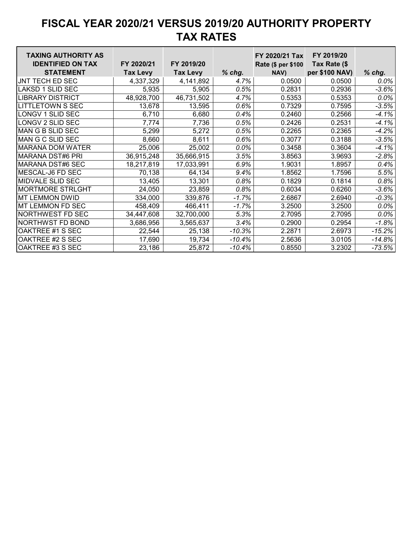| <b>TAXING AUTHORITY AS</b><br><b>IDENTIFIED ON TAX</b> | FY 2020/21      | FY 2019/20      |          | FY 2020/21 Tax<br>Rate (\$ per \$100 | FY 2019/20<br>Tax Rate (\$ |          |
|--------------------------------------------------------|-----------------|-----------------|----------|--------------------------------------|----------------------------|----------|
| <b>STATEMENT</b>                                       | <b>Tax Levy</b> | <b>Tax Levy</b> | $%$ chg. | NAV)                                 | per \$100 NAV)             | $%$ chg. |
| JNT TECH ED SEC                                        | 4,337,329       | 4,141,892       | 4.7%     | 0.0500                               | 0.0500                     | $0.0\%$  |
| <b>LAKSD 1 SLID SEC</b>                                | 5,935           | 5,905           | 0.5%     | 0.2831                               | 0.2936                     | $-3.6%$  |
| <b>LIBRARY DISTRICT</b>                                | 48,928,700      | 46,731,502      | 4.7%     | 0.5353                               | 0.5353                     | 0.0%     |
| <b>LITTLETOWN S SEC</b>                                | 13,678          | 13,595          | 0.6%     | 0.7329                               | 0.7595                     | $-3.5%$  |
| LONGV 1 SLID SEC                                       | 6,710           | 6,680           | 0.4%     | 0.2460                               | 0.2566                     | $-4.1%$  |
| LONGV 2 SLID SEC                                       | 7,774           | 7,736           | 0.5%     | 0.2426                               | 0.2531                     | $-4.1%$  |
| MAN G B SLID SEC                                       | 5,299           | 5,272           | 0.5%     | 0.2265                               | 0.2365                     | $-4.2%$  |
| MAN G C SLID SEC                                       | 8,660           | 8,611           | 0.6%     | 0.3077                               | 0.3188                     | $-3.5%$  |
| <b>MARANA DOM WATER</b>                                | 25,006          | 25,002          | $0.0\%$  | 0.3458                               | 0.3604                     | $-4.1\%$ |
| <b>MARANA DST#6 PRI</b>                                | 36,915,248      | 35,666,915      | 3.5%     | 3.8563                               | 3.9693                     | $-2.8%$  |
| MARANA DST#6 SEC                                       | 18,217,819      | 17,033,991      | 6.9%     | 1.9031                               | 1.8957                     | 0.4%     |
| MESCAL-J6 FD SEC                                       | 70,138          | 64,134          | 9.4%     | 1.8562                               | 1.7596                     | 5.5%     |
| <b>MIDVALE SLID SEC</b>                                | 13,405          | 13,301          | 0.8%     | 0.1829                               | 0.1814                     | 0.8%     |
| <b>MORTMORE STRLGHT</b>                                | 24,050          | 23,859          | 0.8%     | 0.6034                               | 0.6260                     | $-3.6%$  |
| <b>MT LEMMON DWID</b>                                  | 334,000         | 339,876         | $-1.7%$  | 2.6867                               | 2.6940                     | $-0.3%$  |
| MT LEMMON FD SEC                                       | 458,409         | 466,411         | $-1.7%$  | 3.2500                               | 3.2500                     | $0.0\%$  |
| <b>NORTHWEST FD SEC</b>                                | 34,447,608      | 32,700,000      | 5.3%     | 2.7095                               | 2.7095                     | 0.0%     |
| <b>NORTHWST FD BOND</b>                                | 3,686,956       | 3,565,637       | 3.4%     | 0.2900                               | 0.2954                     | $-1.8%$  |
| OAKTREE #1 S SEC                                       | 22,544          | 25,138          | $-10.3%$ | 2.2871                               | 2.6973                     | $-15.2%$ |
| OAKTREE #2 S SEC                                       | 17,690          | 19,734          | $-10.4%$ | 2.5636                               | 3.0105                     | $-14.8%$ |
| OAKTREE #3 S SEC                                       | 23,186          | 25,872          | $-10.4%$ | 0.8550                               | 3.2302                     | $-73.5%$ |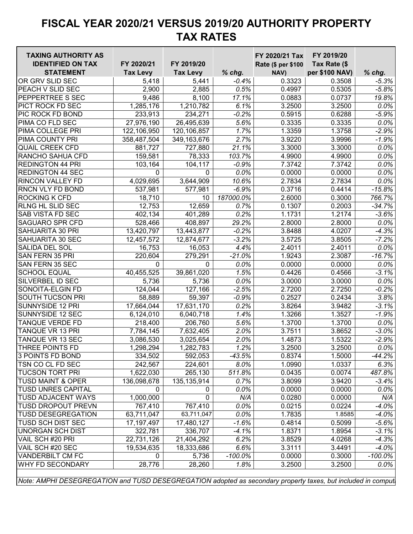| <b>TAXING AUTHORITY AS</b><br><b>IDENTIFIED ON TAX</b>                                                        | FY 2020/21      | FY 2019/20      |            | FY 2020/21 Tax<br>Rate (\$ per \$100 | FY 2019/20<br>Tax Rate (\$ |            |
|---------------------------------------------------------------------------------------------------------------|-----------------|-----------------|------------|--------------------------------------|----------------------------|------------|
| <b>STATEMENT</b>                                                                                              | <b>Tax Levy</b> | <b>Tax Levy</b> | $%$ chg.   | NAV)                                 | per \$100 NAV)             | $%$ chg.   |
| OR GRV SLID SEC                                                                                               | 5,418           | 5,441           | $-0.4%$    | 0.3323                               | 0.3508                     | $-5.3%$    |
| PEACH V SLID SEC                                                                                              | 2,900           | 2,885           | 0.5%       | 0.4997                               | 0.5305                     | $-5.8%$    |
| <b>PEPPERTREE S SEC</b>                                                                                       | 9,486           | 8,100           | 17.1%      | 0.0883                               | 0.0737                     | 19.8%      |
| PICT ROCK FD SEC                                                                                              | 1,285,176       | 1,210,782       | 6.1%       | 3.2500                               | 3.2500                     | 0.0%       |
| PIC ROCK FD BOND                                                                                              | 233,913         | 234,271         | $-0.2%$    | 0.5915                               | 0.6288                     | $-5.9%$    |
| PIMA CO FLD SEC                                                                                               | 27,976,190      | 26,495,639      | 5.6%       | 0.3335                               | 0.3335                     | 0.0%       |
| PIMA COLLEGE PRI                                                                                              | 122,106,950     | 120,106,857     | 1.7%       | 1.3359                               | 1.3758                     | $-2.9%$    |
| PIMA COUNTY PRI                                                                                               | 358,487,504     | 349,163,676     | 2.7%       | 3.9220                               | 3.9996                     | $-1.9%$    |
| <b>QUAIL CREEK CFD</b>                                                                                        | 881,727         | 727,880         | 21.1%      | 3.3000                               | 3.3000                     | 0.0%       |
| <b>RANCHO SAHUA CFD</b>                                                                                       | 159,581         | 78,333          | 103.7%     | 4.9900                               | 4.9900                     | 0.0%       |
| <b>REDINGTON 44 PRI</b>                                                                                       | 103,164         | 104,117         | $-0.9%$    | 7.3742                               | 7.3742                     | 0.0%       |
| <b>REDINGTON 44 SEC</b>                                                                                       | $\Omega$        | 0               | 0.0%       | 0.0000                               | 0.0000                     | 0.0%       |
| <b>RINCON VALLEY FD</b>                                                                                       | 4,029,695       | 3,644,909       | 10.6%      | 2.7834                               | 2.7834                     | 0.0%       |
| <b>RNCN VLY FD BOND</b>                                                                                       | 537,981         | 577,981         | $-6.9%$    | 0.3716                               | 0.4414                     | $-15.8%$   |
| <b>ROCKING K CFD</b>                                                                                          | 18,710          | 10              | 187000.0%  | 2.6000                               | 0.3000                     | 766.7%     |
| <b>RLNG HL SLID SEC</b>                                                                                       | 12,753          | 12,659          | 0.7%       | 0.1307                               | 0.2003                     | $-34.7%$   |
| <b>SAB VISTA FD SEC</b>                                                                                       | 402,134         | 401,289         | 0.2%       | 1.1731                               | 1.2174                     | $-3.6%$    |
| <b>SAGUARO SPR CFD</b>                                                                                        | 528,466         | 408,897         | 29.2%      | 2.8000                               | 2.8000                     | 0.0%       |
| <b>SAHUARITA 30 PRI</b>                                                                                       | 13,420,797      | 13,443,877      | $-0.2%$    | 3.8488                               | 4.0207                     | $-4.3%$    |
| SAHUARITA 30 SEC                                                                                              | 12,457,572      | 12,874,677      | $-3.2%$    | 3.5725                               | 3.8505                     | $-7.2%$    |
| SALIDA DEL SOL                                                                                                | 16,753          | 16,053          | 4.4%       | 2.4011                               | 2.4011                     | 0.0%       |
| <b>SAN FERN 35 PRI</b>                                                                                        | 220,604         | 279,291         | $-21.0%$   | 1.9243                               | 2.3087                     | $-16.7%$   |
| SAN FERN 35 SEC                                                                                               | $\mathbf 0$     | $\mathbf{0}$    | 0.0%       | 0.0000                               | 0.0000                     | 0.0%       |
| <b>SCHOOL EQUAL</b>                                                                                           | 40,455,525      | 39,861,020      | 1.5%       | 0.4426                               | 0.4566                     | $-3.1%$    |
| <b>SILVERBEL ID SEC</b>                                                                                       | 5,736           | 5,736           | 0.0%       | 3.0000                               | 3.0000                     | 0.0%       |
| SONOITA-ELGIN FD                                                                                              | 124,044         | 127,166         | $-2.5%$    | 2.7200                               | 2.7250                     | $-0.2%$    |
| SOUTH TUCSON PRI                                                                                              | 58,889          | 59,397          | $-0.9%$    | 0.2527                               | 0.2434                     | 3.8%       |
| <b>SUNNYSIDE 12 PRI</b>                                                                                       | 17,664,044      | 17,631,170      | 0.2%       | 3.8264                               | 3.9482                     | $-3.1%$    |
| <b>SUNNYSIDE 12 SEC</b>                                                                                       | 6,124,010       | 6,040,718       | 1.4%       | 1.3266                               | 1.3527                     | $-1.9%$    |
| <b>TANQUE VERDE FD</b>                                                                                        | 218,400         | 206,760         | 5.6%       | 1.3700                               | 1.3700                     | 0.0%       |
| <b>TANQUE VR 13 PRI</b>                                                                                       | 7,784,145       | 7,632,405       | 2.0%       | 3.7511                               | 3.8652                     | $-3.0%$    |
| <b>TANQUE VR 13 SEC</b>                                                                                       | 3,086,530       | 3,025,654       | 2.0%       | 1.4873                               | 1.5322                     | $-2.9%$    |
| <b>THREE POINTS FD</b>                                                                                        | 1,298,294       | 1,282,783       | 1.2%       | 3.2500                               | 3.2500                     | $0.0\%$    |
| 3 POINTS FD BOND                                                                                              | 334,502         | 592,053         | $-43.5%$   | 0.8374                               | 1.5000                     | $-44.2%$   |
| TSN CO CL FD SEC                                                                                              | 242,567         | 224,601         | 8.0%       | 1.0990                               | 1.0337                     | 6.3%       |
| <b>TUCSON TORT PRI</b>                                                                                        | 1,622,030       | 265,130         | 511.8%     | 0.0435                               | 0.0074                     | 487.8%     |
| <b>TUSD MAINT &amp; OPER</b>                                                                                  | 136,098,678     | 135, 135, 914   | 0.7%       | 3.8099                               | 3.9420                     | $-3.4%$    |
| <b>TUSD UNRES CAPITAL</b>                                                                                     | $\mathbf 0$     | 0               | 0.0%       | 0.0000                               | 0.0000                     | 0.0%       |
| <b>TUSD ADJACENT WAYS</b>                                                                                     | 1,000,000       | 0               | N/A        | 0.0280                               | 0.0000                     | N/A        |
| <b>TUSD DROPOUT PREVN</b>                                                                                     | 767,410         | 767,410         | 0.0%       | 0.0215                               | 0.0224                     | $-4.0%$    |
| <b>TUSD DESEGREGATION</b>                                                                                     | 63,711,047      | 63,711,047      | 0.0%       | 1.7835                               | 1.8585                     | $-4.0%$    |
| <b>TUSD SCH DIST SEC</b>                                                                                      | 17, 197, 497    | 17,480,127      | $-1.6%$    | 0.4814                               | 0.5099                     | $-5.6%$    |
| <b>UNORGAN SCH DIST</b>                                                                                       | 322,781         | 336,707         | $-4.1%$    | 1.8371                               | 1.8954                     | $-3.1%$    |
| VAIL SCH #20 PRI                                                                                              | 22,731,126      | 21,404,292      | 6.2%       | 3.8529                               | 4.0268                     | $-4.3%$    |
| VAIL SCH #20 SEC                                                                                              | 19,534,635      | 18,333,686      | 6.6%       | 3.3111                               | 3.4491                     | $-4.0%$    |
| <b>VANDERBILT CM FC</b>                                                                                       | 0               | 5,736           | $-100.0\%$ | 0.0000                               | 0.3000                     | $-100.0\%$ |
| <b>WHY FD SECONDARY</b>                                                                                       | 28,776          | 28,260          | 1.8%       | 3.2500                               | 3.2500                     | 0.0%       |
| Note: AMPHI DESEGREGATION and TUSD DESEGREGATION adopted as secondary property taxes, but included in comput. |                 |                 |            |                                      |                            |            |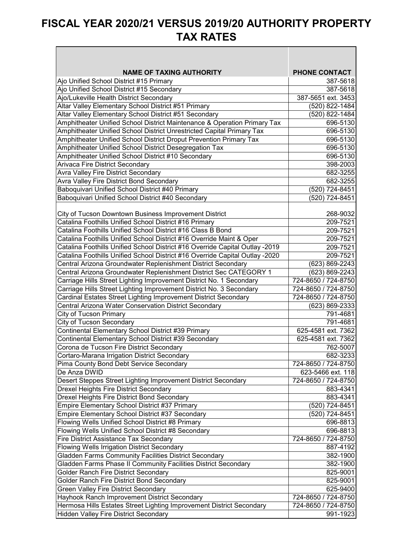┑

 $\overline{\phantom{a}}$ 

| <b>NAME OF TAXING AUTHORITY</b>                                              | <b>PHONE CONTACT</b> |  |
|------------------------------------------------------------------------------|----------------------|--|
| Ajo Unified School District #15 Primary                                      | 387-5618             |  |
| Ajo Unified School District #15 Secondary                                    | 387-5618             |  |
| Ajo/Lukeville Health District Secondary                                      | 387-5651 ext. 3453   |  |
| Altar Valley Elementary School District #51 Primary                          | (520) 822-1484       |  |
| Altar Valley Elementary School District #51 Secondary                        | (520) 822-1484       |  |
| Amphitheater Unified School District Maintenance & Operation Primary Tax     | 696-5130             |  |
| Amphitheater Unified School District Unrestricted Capital Primary Tax        | 696-5130             |  |
| Amphitheater Unified School District Droput Prevention Primary Tax           | 696-5130             |  |
| Amphitheater Unified School District Desegregation Tax                       | 696-5130             |  |
| Amphitheater Unified School District #10 Secondary                           | 696-5130             |  |
| Arivaca Fire District Secondary                                              | 398-2003             |  |
| <b>Avra Valley Fire District Secondary</b>                                   | 682-3255             |  |
| Avra Valley Fire District Bond Secondary                                     | 682-3255             |  |
| Baboquivari Unified School District #40 Primary                              | (520) 724-8451       |  |
| Baboquivari Unified School District #40 Secondary                            | (520) 724-8451       |  |
|                                                                              |                      |  |
| City of Tucson Downtown Business Improvement District                        | 268-9032             |  |
| Catalina Foothills Unified School District #16 Primary                       | 209-7521             |  |
| Catalina Foothills Unified School District #16 Class B Bond                  | 209-7521             |  |
| Catalina Foothills Unified School District #16 Override Maint & Oper         | 209-7521             |  |
| Catalina Foothills Unified School District #16 Override Capital Outlay -2019 | 209-7521             |  |
| Catalina Foothills Unified School District #16 Override Capital Outlay -2020 | 209-7521             |  |
| Central Arizona Groundwater Replenishment District Secondary                 | (623) 869-2243       |  |
| Central Arizona Groundwater Replenishment District Sec CATEGORY 1            | (623) 869-2243       |  |
| Carriage Hills Street Lighting Improvement District No. 1 Secondary          | 724-8650 / 724-8750  |  |
| Carriage Hills Street Lighting Improvement District No. 3 Secondary          | 724-8650 / 724-8750  |  |
| Cardinal Estates Street Lighting Improvement District Secondary              | 724-8650 / 724-8750  |  |
| Central Arizona Water Conservation District Secondary                        | (623) 869-2333       |  |
| <b>City of Tucson Primary</b>                                                | 791-4681             |  |
| City of Tucson Secondary                                                     | 791-4681             |  |
| Continental Elementary School District #39 Primary                           | 625-4581 ext. 7362   |  |
| Continental Elementary School District #39 Secondary                         | 625-4581 ext. 7362   |  |
| Corona de Tucson Fire District Secondary                                     | 762-5007             |  |
| Cortaro-Marana Irrigation District Secondary                                 | 682-3233             |  |
| Pima County Bond Debt Service Secondary                                      | 724-8650 / 724-8750  |  |
| De Anza DWID                                                                 | 623-5466 ext. 118    |  |
| Desert Steppes Street Lighting Improvement District Secondary                | 724-8650 / 724-8750  |  |
| Drexel Heights Fire District Secondary                                       | 883-4341             |  |
| Drexel Heights Fire District Bond Secondary                                  | 883-4341             |  |
| Empire Elementary School District #37 Primary                                | (520) 724-8451       |  |
| Empire Elementary School District #37 Secondary                              | (520) 724-8451       |  |
| Flowing Wells Unified School District #8 Primary                             | 696-8813             |  |
| Flowing Wells Unified School District #8 Secondary                           | 696-8813             |  |
| Fire District Assistance Tax Secondary                                       | 724-8650 / 724-8750  |  |
| <b>Flowing Wells Irrigation District Secondary</b>                           | 887-4192             |  |
| Gladden Farms Community Facilities District Secondary                        | 382-1900             |  |
| Gladden Farms Phase II Community Facilities District Secondary               | 382-1900             |  |
| Golder Ranch Fire District Secondary                                         | 825-9001             |  |
| Golder Ranch Fire District Bond Secondary                                    | 825-9001             |  |
| Green Valley Fire District Secondary                                         | 625-9400             |  |
| Hayhook Ranch Improvement District Secondary                                 | 724-8650 / 724-8750  |  |
| Hermosa Hills Estates Street Lighting Improvement District Secondary         | 724-8650 / 724-8750  |  |
| <b>Hidden Valley Fire District Secondary</b>                                 | 991-1923             |  |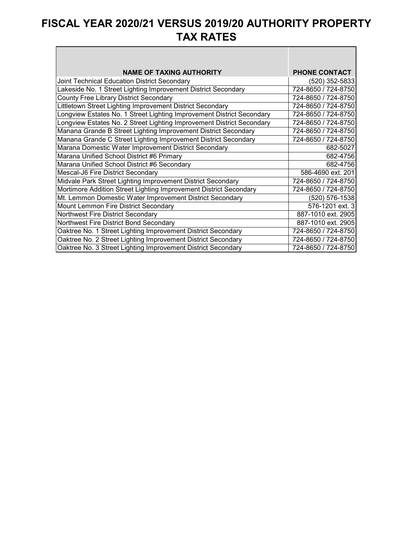$\Box$ 

| <b>NAME OF TAXING AUTHORITY</b>                                       | <b>PHONE CONTACT</b> |
|-----------------------------------------------------------------------|----------------------|
| Joint Technical Education District Secondary                          | (520) 352-5833       |
| Lakeside No. 1 Street Lighting Improvement District Secondary         | 724-8650 / 724-8750  |
| <b>County Free Library District Secondary</b>                         | 724-8650 / 724-8750  |
| Littletown Street Lighting Improvement District Secondary             | 724-8650 / 724-8750  |
| Longview Estates No. 1 Street Lighting Improvement District Secondary | 724-8650 / 724-8750  |
| Longview Estates No. 2 Street Lighting Improvement District Secondary | 724-8650 / 724-8750  |
| Manana Grande B Street Lighting Improvement District Secondary        | 724-8650 / 724-8750  |
| Manana Grande C Street Lighting Improvement District Secondary        | 724-8650 / 724-8750  |
| Marana Domestic Water Improvement District Secondary                  | 682-5027             |
| Marana Unified School District #6 Primary                             | 682-4756             |
| Marana Unified School District #6 Secondary                           | 682-4756             |
| Mescal-J6 Fire District Secondary                                     | 586-4690 ext. 201    |
| Midvale Park Street Lighting Improvement District Secondary           | 724-8650 / 724-8750  |
| Mortimore Addition Street Lighting Improvement District Secondary     | 724-8650 / 724-8750  |
| Mt. Lemmon Domestic Water Improvement District Secondary              | (520) 576-1538       |
| Mount Lemmon Fire District Secondary                                  | 576-1201 ext. 3      |
| Northwest Fire District Secondary                                     | 887-1010 ext. 2905   |
| Northwest Fire District Bond Secondary                                | 887-1010 ext. 2905   |
| Oaktree No. 1 Street Lighting Improvement District Secondary          | 724-8650 / 724-8750  |
| Oaktree No. 2 Street Lighting Improvement District Secondary          | 724-8650 / 724-8750  |
| Oaktree No. 3 Street Lighting Improvement District Secondary          | 724-8650 / 724-8750  |